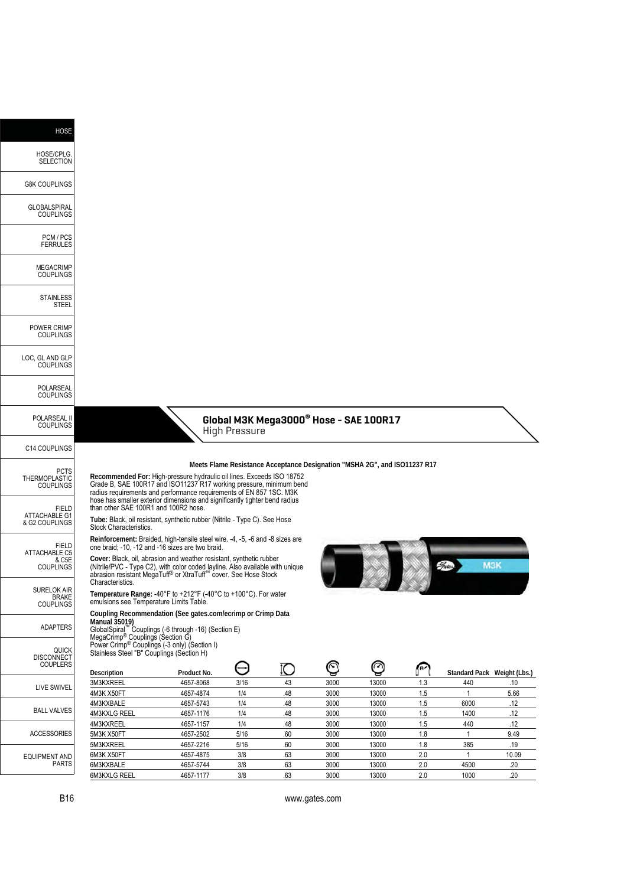| <b>HOSE</b>                                                       |                                                                                                                                                                                                                                                                                                                                                                                     |                                                                 |                      |                                                                           |              |                |            |                             |             |
|-------------------------------------------------------------------|-------------------------------------------------------------------------------------------------------------------------------------------------------------------------------------------------------------------------------------------------------------------------------------------------------------------------------------------------------------------------------------|-----------------------------------------------------------------|----------------------|---------------------------------------------------------------------------|--------------|----------------|------------|-----------------------------|-------------|
| HOSE/CPLG.<br><b>SELECTION</b>                                    |                                                                                                                                                                                                                                                                                                                                                                                     |                                                                 |                      |                                                                           |              |                |            |                             |             |
| <b>G8K COUPLINGS</b>                                              |                                                                                                                                                                                                                                                                                                                                                                                     |                                                                 |                      |                                                                           |              |                |            |                             |             |
| GLOBALSPIRAL<br><b>COUPLINGS</b>                                  |                                                                                                                                                                                                                                                                                                                                                                                     |                                                                 |                      |                                                                           |              |                |            |                             |             |
| PCM / PCS<br><b>FERRULES</b>                                      |                                                                                                                                                                                                                                                                                                                                                                                     |                                                                 |                      |                                                                           |              |                |            |                             |             |
| <b>MEGACRIMP</b><br><b>COUPLINGS</b>                              |                                                                                                                                                                                                                                                                                                                                                                                     |                                                                 |                      |                                                                           |              |                |            |                             |             |
| <b>STAINLESS</b><br>STEEL                                         |                                                                                                                                                                                                                                                                                                                                                                                     |                                                                 |                      |                                                                           |              |                |            |                             |             |
| POWER CRIMP<br><b>COUPLINGS</b>                                   |                                                                                                                                                                                                                                                                                                                                                                                     |                                                                 |                      |                                                                           |              |                |            |                             |             |
| LOC, GL AND GLP<br><b>COUPLINGS</b>                               |                                                                                                                                                                                                                                                                                                                                                                                     |                                                                 |                      |                                                                           |              |                |            |                             |             |
| POLARSEAL<br><b>COUPLINGS</b>                                     |                                                                                                                                                                                                                                                                                                                                                                                     |                                                                 |                      |                                                                           |              |                |            |                             |             |
| POLARSEAL II<br><b>COUPLINGS</b>                                  |                                                                                                                                                                                                                                                                                                                                                                                     |                                                                 | <b>High Pressure</b> | Global M3K Mega3000® Hose - SAE 100R17                                    |              |                |            |                             |             |
| C14 COUPLINGS                                                     |                                                                                                                                                                                                                                                                                                                                                                                     |                                                                 |                      |                                                                           |              |                |            |                             |             |
| <b>PCTS</b><br>THERMOPLASTIC<br><b>COUPLINGS</b>                  | Recommended For: High-pressure hydraulic oil lines. Exceeds ISO 18752<br>Grade B, SAE 100R17 and ISO11237 R17 working pressure, minimum bend<br>radius requirements and performance requirements of EN 857 1SC. M3K                                                                                                                                                                 |                                                                 |                      | Meets Flame Resistance Acceptance Designation "MSHA 2G", and ISO11237 R17 |              |                |            |                             |             |
| <b>FIELD</b><br><b>ATTACHABLE G1</b><br>& G2 COUPLINGS            | hose has smaller exterior dimensions and significantly tighter bend radius<br>than other SAE 100R1 and 100R2 hose.<br>Tube: Black, oil resistant, synthetic rubber (Nitrile - Type C). See Hose<br>Stock Characteristics.                                                                                                                                                           |                                                                 |                      |                                                                           |              |                |            |                             |             |
| <b>FIELD</b><br><b>ATTACHABLE C5</b><br>& C5E<br><b>COUPLINGS</b> | Reinforcement: Braided, high-tensile steel wire. -4, -5, -6 and -8 sizes are<br>one braid; -10, -12 and -16 sizes are two braid.<br>Cover: Black, oil, abrasion and weather resistant, synthetic rubber<br>(Nitrile/PVC - Type C2), with color coded layline. Also available with unique<br>abrasion resistant MegaTuff <sup>®</sup> or XtraTuff <sup>™</sup> cover. See Hose Stock |                                                                 |                      |                                                                           |              |                |            | Gates.<br><b>M3K</b>        |             |
| <b>SURELOK AIR</b><br>BRAKE<br>COUPLINGS                          | Characteristics.<br>emulsions see Temperature Limits Table.                                                                                                                                                                                                                                                                                                                         | Temperature Range: -40°F to +212°F (-40°C to +100°C). For water |                      |                                                                           |              |                |            |                             |             |
| <b>ADAPTERS</b>                                                   | Coupling Recommendation (See gates.com/ecrimp or Crimp Data<br>Manual 35019)<br>GlobalSpiral <sup>™</sup> Couplings (-6 through -16) (Section E)<br>MegaCrimp <sup>®</sup> Couplings (Section G)                                                                                                                                                                                    |                                                                 |                      |                                                                           |              |                |            |                             |             |
| <b>QUICK</b><br>DISCONNECT<br>COUPLERS                            | Power Crimp® Couplings (-3 only) (Section I)<br>Stainless Steel "B" Couplings (Section H)                                                                                                                                                                                                                                                                                           |                                                                 |                      |                                                                           |              | ◎              |            |                             |             |
|                                                                   | Description                                                                                                                                                                                                                                                                                                                                                                         | Product No.                                                     | ٣                    | ΙO                                                                        | ◎            |                | Թ          | Standard Pack Weight (Lbs.) |             |
| <b>LIVE SWIVEL</b>                                                | 3M3KXREEL<br>4M3K X50FT                                                                                                                                                                                                                                                                                                                                                             | 4657-8068<br>4657-4874                                          | 3/16<br>1/4          | .43<br>.48                                                                | 3000<br>3000 | 13000<br>13000 | 1.3<br>1.5 | 440                         | .10<br>5.66 |
|                                                                   | 4M3KXBALE                                                                                                                                                                                                                                                                                                                                                                           | 4657-5743                                                       | 1/4                  | .48                                                                       | 3000         | 13000          | 1.5        | 6000                        | .12         |
| <b>BALL VALVES</b>                                                | 4M3KXLG REEL                                                                                                                                                                                                                                                                                                                                                                        | 4657-1176                                                       | 1/4                  | .48                                                                       | 3000         | 13000          | 1.5        | 1400                        | .12         |
|                                                                   | 4M3KXREEL                                                                                                                                                                                                                                                                                                                                                                           | 4657-1157                                                       | 1/4                  | .48                                                                       | 3000         | 13000          | 1.5        | 440                         | .12         |
| <b>ACCESSORIES</b>                                                | 5M3K X50FT<br>5M3KXREEL                                                                                                                                                                                                                                                                                                                                                             | 4657-2502<br>4657-2216                                          | 5/16<br>5/16         | .60<br>.60                                                                | 3000<br>3000 | 13000<br>13000 | 1.8<br>1.8 | $\mathbf{1}$<br>385         | 9.49<br>.19 |
|                                                                   | 6M3K X50FT                                                                                                                                                                                                                                                                                                                                                                          | 4657-4875                                                       | 3/8                  | .63                                                                       | 3000         | 13000          | 2.0        | $\mathbf{1}$                | 10.09       |
| <b>EQUIPMENT AND</b><br><b>PARTS</b>                              | 6M3KXBALE                                                                                                                                                                                                                                                                                                                                                                           | 4657-5744                                                       | 3/8                  | .63                                                                       | 3000         | 13000          | 2.0        | 4500                        | .20         |
|                                                                   | 6M3KXLG REEL                                                                                                                                                                                                                                                                                                                                                                        | 4657-1177                                                       | 3/8                  | .63                                                                       | 3000         | 13000          | 2.0        | 1000                        | .20         |

B16 www.gates.com